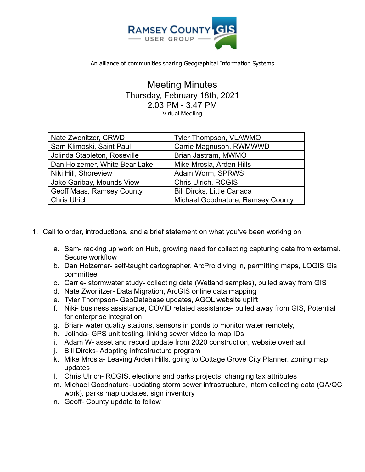

An alliance of communities sharing Geographical Information Systems

Meeting Minutes Thursday, February 18th, 2021 2:03 PM - 3:47 PM Virtual Meeting

| Nate Zwonitzer, CRWD          | Tyler Thompson, VLAWMO            |
|-------------------------------|-----------------------------------|
| Sam Klimoski, Saint Paul      | Carrie Magnuson, RWMWWD           |
| Jolinda Stapleton, Roseville  | Brian Jastram, MWMO               |
| Dan Holzemer, White Bear Lake | Mike Mrosla, Arden Hills          |
| Niki Hill, Shoreview          | Adam Worm, SPRWS                  |
| Jake Garibay, Mounds View     | Chris Ulrich, RCGIS               |
| Geoff Maas, Ramsey County     | <b>Bill Dircks, Little Canada</b> |
| <b>Chris Ulrich</b>           | Michael Goodnature, Ramsey County |

- 1. Call to order, introductions, and a brief statement on what you've been working on
	- a. Sam- racking up work on Hub, growing need for collecting capturing data from external. Secure workflow
	- b. Dan Holzemer- self-taught cartographer, ArcPro diving in, permitting maps, LOGIS Gis committee
	- c. Carrie- stormwater study- collecting data (Wetland samples), pulled away from GIS
	- d. Nate Zwonitzer- Data Migration, ArcGIS online data mapping
	- e. Tyler Thompson- GeoDatabase updates, AGOL website uplift
	- f. Niki- business assistance, COVID related assistance- pulled away from GIS, Potential for enterprise integration
	- g. Brian- water quality stations, sensors in ponds to monitor water remotely,
	- h. Jolinda- GPS unit testing, linking sewer video to map IDs
	- i. Adam W- asset and record update from 2020 construction, website overhaul
	- j. Bill Dircks- Adopting infrastructure program
	- k. Mike Mrosla- Leaving Arden Hills, going to Cottage Grove City Planner, zoning map updates
	- l. Chris Ulrich- RCGIS, elections and parks projects, changing tax attributes
	- m. Michael Goodnature- updating storm sewer infrastructure, intern collecting data (QA/QC work), parks map updates, sign inventory
	- n. Geoff- County update to follow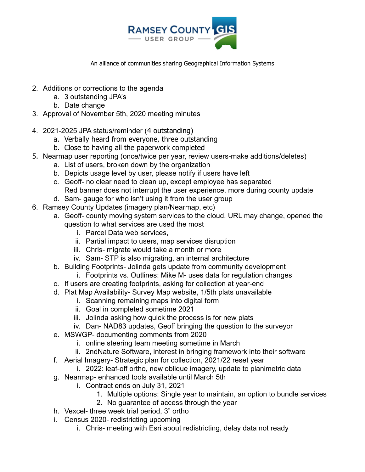

An alliance of communities sharing Geographical Information Systems

- 2. Additions or corrections to the agenda
	- a. 3 outstanding JPA's
	- b. Date change
- 3. Approval of November 5th, 2020 meeting minutes
- 4. 2021-2025 JPA status/reminder (4 outstanding)
	- a. Verbally heard from everyone, three outstanding
	- b. Close to having all the paperwork completed
- 5. Nearmap user reporting (once/twice per year, review users-make additions/deletes)
	- a. List of users, broken down by the organization
	- b. Depicts usage level by user, please notify if users have left
	- c. Geoff- no clear need to clean up, except employee has separated Red banner does not interrupt the user experience, more during county update
	- d. Sam- gauge for who isn't using it from the user group
- 6. Ramsey County Updates (imagery plan/Nearmap, etc)
	- a. Geoff- county moving system services to the cloud, URL may change, opened the question to what services are used the most
		- i. Parcel Data web services,
		- ii. Partial impact to users, map services disruption
		- iii. Chris- migrate would take a month or more
		- iv. Sam- STP is also migrating, an internal architecture
	- b. Building Footprints- Jolinda gets update from community development
		- i. Footprints vs. Outlines: Mike M- uses data for regulation changes
	- c. If users are creating footprints, asking for collection at year-end
	- d. Plat Map Availability- Survey Map website, 1/5th plats unavailable
		- i. Scanning remaining maps into digital form
		- ii. Goal in completed sometime 2021
		- iii. Jolinda asking how quick the process is for new plats
		- iv. Dan- NAD83 updates, Geoff bringing the question to the surveyor
	- e. MSWGP- documenting comments from 2020
		- i. online steering team meeting sometime in March
		- ii. 2ndNature Software, interest in bringing framework into their software
	- f. Aerial Imagery- Strategic plan for collection, 2021/22 reset year
		- i. 2022: leaf-off ortho, new oblique imagery, update to planimetric data
	- g. Nearmap- enhanced tools available until March 5th
		- i. Contract ends on July 31, 2021
			- 1. Multiple options: Single year to maintain, an option to bundle services
			- 2. No guarantee of access through the year
	- h. Vexcel- three week trial period, 3" ortho
	- i. Census 2020- redistricting upcoming
		- i. Chris- meeting with Esri about redistricting, delay data not ready